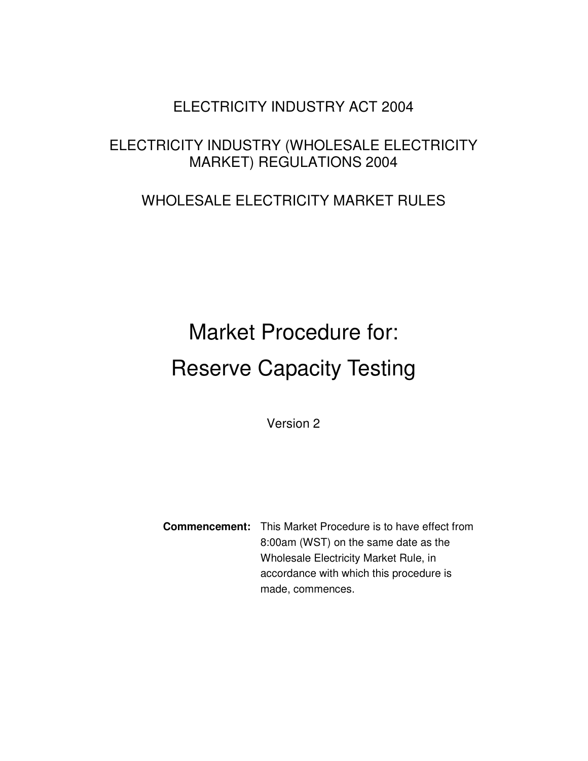# ELECTRICITY INDUSTRY ACT 2004

# ELECTRICITY INDUSTRY (WHOLESALE ELECTRICITY MARKET) REGULATIONS 2004

# WHOLESALE ELECTRICITY MARKET RULES

# Market Procedure for: Reserve Capacity Testing

Version 2

**Commencement:** This Market Procedure is to have effect from 8:00am (WST) on the same date as the Wholesale Electricity Market Rule, in accordance with which this procedure is made, commences.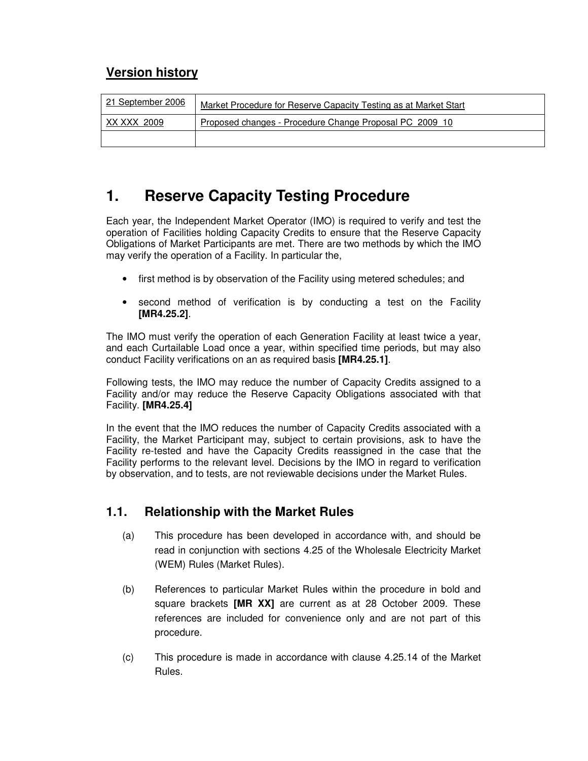# **Version history**

| 21 September 2006 | Market Procedure for Reserve Capacity Testing as at Market Start |
|-------------------|------------------------------------------------------------------|
| XX XXX 2009       | Proposed changes - Procedure Change Proposal PC 2009 10          |
|                   |                                                                  |

# **1. Reserve Capacity Testing Procedure**

Each year, the Independent Market Operator (IMO) is required to verify and test the operation of Facilities holding Capacity Credits to ensure that the Reserve Capacity Obligations of Market Participants are met. There are two methods by which the IMO may verify the operation of a Facility. In particular the,

- first method is by observation of the Facility using metered schedules; and
- second method of verification is by conducting a test on the Facility **[MR4.25.2]**.

The IMO must verify the operation of each Generation Facility at least twice a year, and each Curtailable Load once a year, within specified time periods, but may also conduct Facility verifications on an as required basis **[MR4.25.1]**.

Following tests, the IMO may reduce the number of Capacity Credits assigned to a Facility and/or may reduce the Reserve Capacity Obligations associated with that Facility. **[MR4.25.4]**

In the event that the IMO reduces the number of Capacity Credits associated with a Facility, the Market Participant may, subject to certain provisions, ask to have the Facility re-tested and have the Capacity Credits reassigned in the case that the Facility performs to the relevant level. Decisions by the IMO in regard to verification by observation, and to tests, are not reviewable decisions under the Market Rules.

# **1.1. Relationship with the Market Rules**

- (a) This procedure has been developed in accordance with, and should be read in conjunction with sections 4.25 of the Wholesale Electricity Market (WEM) Rules (Market Rules).
- (b) References to particular Market Rules within the procedure in bold and square brackets **[MR XX]** are current as at 28 October 2009. These references are included for convenience only and are not part of this procedure.
- (c) This procedure is made in accordance with clause 4.25.14 of the Market Rules.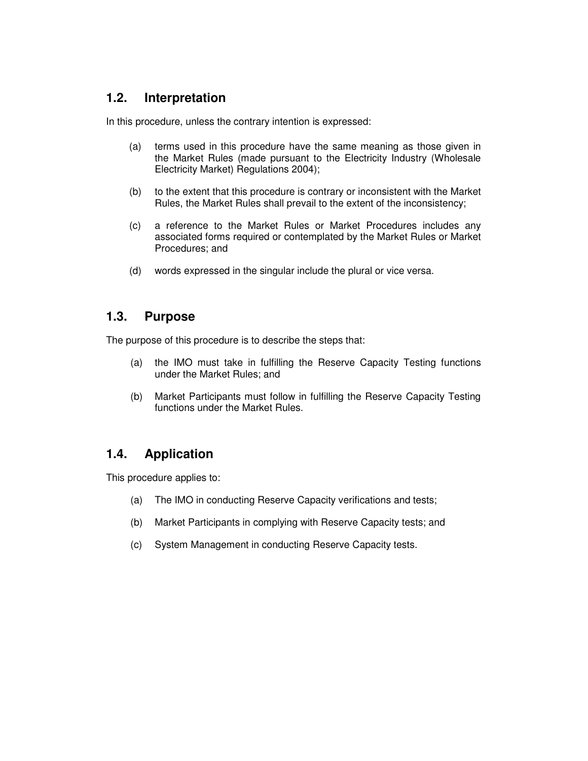#### **1.2. Interpretation**

In this procedure, unless the contrary intention is expressed:

- (a) terms used in this procedure have the same meaning as those given in the Market Rules (made pursuant to the Electricity Industry (Wholesale Electricity Market) Regulations 2004);
- (b) to the extent that this procedure is contrary or inconsistent with the Market Rules, the Market Rules shall prevail to the extent of the inconsistency;
- (c) a reference to the Market Rules or Market Procedures includes any associated forms required or contemplated by the Market Rules or Market Procedures; and
- (d) words expressed in the singular include the plural or vice versa.

#### **1.3. Purpose**

The purpose of this procedure is to describe the steps that:

- (a) the IMO must take in fulfilling the Reserve Capacity Testing functions under the Market Rules; and
- (b) Market Participants must follow in fulfilling the Reserve Capacity Testing functions under the Market Rules.

# **1.4. Application**

This procedure applies to:

- (a) The IMO in conducting Reserve Capacity verifications and tests;
- (b) Market Participants in complying with Reserve Capacity tests; and
- (c) System Management in conducting Reserve Capacity tests.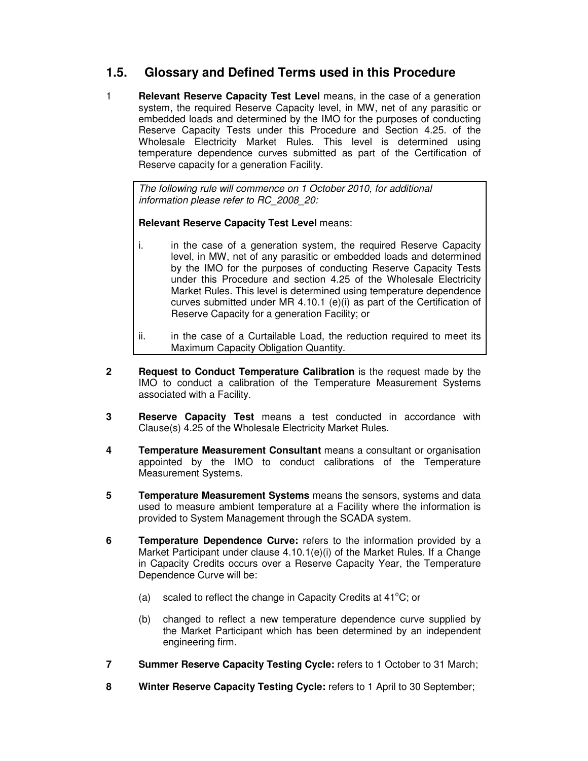# **1.5. Glossary and Defined Terms used in this Procedure**

1 **Relevant Reserve Capacity Test Level** means, in the case of a generation system, the required Reserve Capacity level, in MW, net of any parasitic or embedded loads and determined by the IMO for the purposes of conducting Reserve Capacity Tests under this Procedure and Section 4.25. of the Wholesale Electricity Market Rules. This level is determined using temperature dependence curves submitted as part of the Certification of Reserve capacity for a generation Facility.

The following rule will commence on 1 October 2010, for additional information please refer to RC\_2008\_20:

**Relevant Reserve Capacity Test Level** means:

- i. in the case of a generation system, the required Reserve Capacity level, in MW, net of any parasitic or embedded loads and determined by the IMO for the purposes of conducting Reserve Capacity Tests under this Procedure and section 4.25 of the Wholesale Electricity Market Rules. This level is determined using temperature dependence curves submitted under MR 4.10.1 (e)(i) as part of the Certification of Reserve Capacity for a generation Facility; or
- ii. in the case of a Curtailable Load, the reduction required to meet its Maximum Capacity Obligation Quantity.
- **2 Request to Conduct Temperature Calibration** is the request made by the IMO to conduct a calibration of the Temperature Measurement Systems associated with a Facility.
- **3 Reserve Capacity Test** means a test conducted in accordance with Clause(s) 4.25 of the Wholesale Electricity Market Rules.
- **4 Temperature Measurement Consultant** means a consultant or organisation appointed by the IMO to conduct calibrations of the Temperature Measurement Systems.
- **5 Temperature Measurement Systems** means the sensors, systems and data used to measure ambient temperature at a Facility where the information is provided to System Management through the SCADA system.
- **6 Temperature Dependence Curve:** refers to the information provided by a Market Participant under clause 4.10.1(e)(i) of the Market Rules. If a Change in Capacity Credits occurs over a Reserve Capacity Year, the Temperature Dependence Curve will be:
	- (a) scaled to reflect the change in Capacity Credits at  $41^{\circ}$ C; or
	- (b) changed to reflect a new temperature dependence curve supplied by the Market Participant which has been determined by an independent engineering firm.
- **7 Summer Reserve Capacity Testing Cycle:** refers to 1 October to 31 March;
- **8 Winter Reserve Capacity Testing Cycle:** refers to 1 April to 30 September;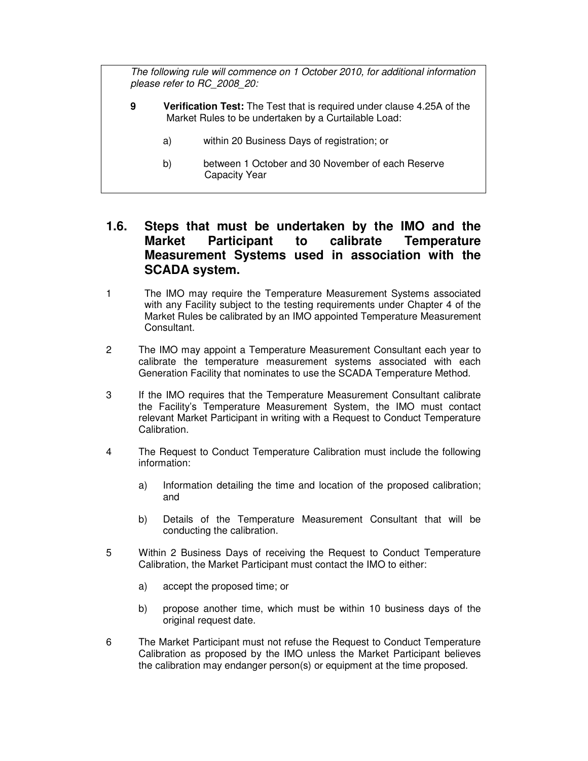The following rule will commence on 1 October 2010, for additional information please refer to RC\_2008\_20:

- **9 Verification Test:** The Test that is required under clause 4.25A of the Market Rules to be undertaken by a Curtailable Load:
	- a) within 20 Business Days of registration; or
	- b) between 1 October and 30 November of each Reserve Capacity Year

#### **1.6. Steps that must be undertaken by the IMO and the Market Participant to calibrate Temperature Measurement Systems used in association with the SCADA system.**

- 1 The IMO may require the Temperature Measurement Systems associated with any Facility subject to the testing requirements under Chapter 4 of the Market Rules be calibrated by an IMO appointed Temperature Measurement Consultant.
- 2 The IMO may appoint a Temperature Measurement Consultant each year to calibrate the temperature measurement systems associated with each Generation Facility that nominates to use the SCADA Temperature Method.
- 3 If the IMO requires that the Temperature Measurement Consultant calibrate the Facility's Temperature Measurement System, the IMO must contact relevant Market Participant in writing with a Request to Conduct Temperature Calibration.
- 4 The Request to Conduct Temperature Calibration must include the following information:
	- a) Information detailing the time and location of the proposed calibration; and
	- b) Details of the Temperature Measurement Consultant that will be conducting the calibration.
- 5 Within 2 Business Days of receiving the Request to Conduct Temperature Calibration, the Market Participant must contact the IMO to either:
	- a) accept the proposed time; or
	- b) propose another time, which must be within 10 business days of the original request date.
- 6 The Market Participant must not refuse the Request to Conduct Temperature Calibration as proposed by the IMO unless the Market Participant believes the calibration may endanger person(s) or equipment at the time proposed.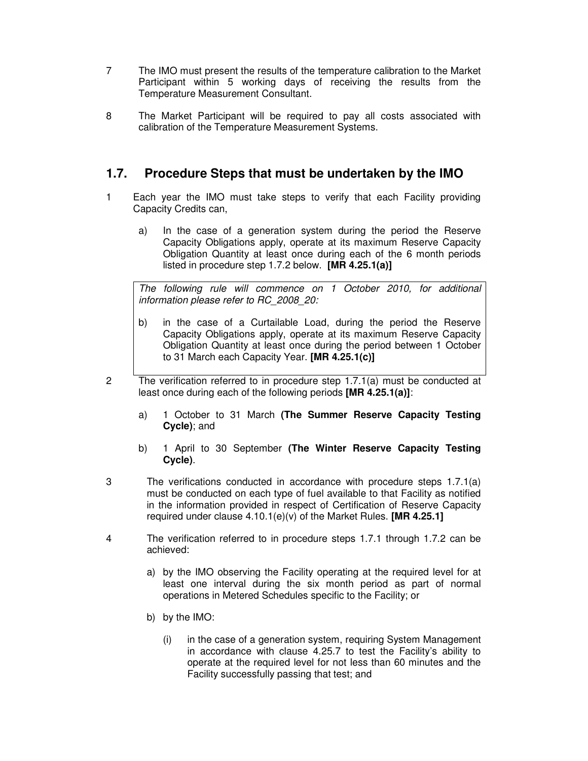- 7 The IMO must present the results of the temperature calibration to the Market Participant within 5 working days of receiving the results from the Temperature Measurement Consultant.
- 8 The Market Participant will be required to pay all costs associated with calibration of the Temperature Measurement Systems.

## **1.7. Procedure Steps that must be undertaken by the IMO**

- 1 Each year the IMO must take steps to verify that each Facility providing Capacity Credits can,
	- a) In the case of a generation system during the period the Reserve Capacity Obligations apply, operate at its maximum Reserve Capacity Obligation Quantity at least once during each of the 6 month periods listed in procedure step 1.7.2 below. **[MR 4.25.1(a)]**

The following rule will commence on 1 October 2010, for additional information please refer to RC\_2008\_20:

- b) in the case of a Curtailable Load, during the period the Reserve Capacity Obligations apply, operate at its maximum Reserve Capacity Obligation Quantity at least once during the period between 1 October to 31 March each Capacity Year. **[MR 4.25.1(c)]**
- 2 The verification referred to in procedure step 1.7.1(a) must be conducted at least once during each of the following periods **[MR 4.25.1(a)]**:
	- a) 1 October to 31 March **(The Summer Reserve Capacity Testing Cycle)**; and
	- b) 1 April to 30 September **(The Winter Reserve Capacity Testing Cycle)**.
- 3 The verifications conducted in accordance with procedure steps 1.7.1(a) must be conducted on each type of fuel available to that Facility as notified in the information provided in respect of Certification of Reserve Capacity required under clause 4.10.1(e)(v) of the Market Rules. **[MR 4.25.1]**
- 4 The verification referred to in procedure steps 1.7.1 through 1.7.2 can be achieved:
	- a) by the IMO observing the Facility operating at the required level for at least one interval during the six month period as part of normal operations in Metered Schedules specific to the Facility; or
	- b) by the IMO:
		- (i) in the case of a generation system, requiring System Management in accordance with clause 4.25.7 to test the Facility's ability to operate at the required level for not less than 60 minutes and the Facility successfully passing that test; and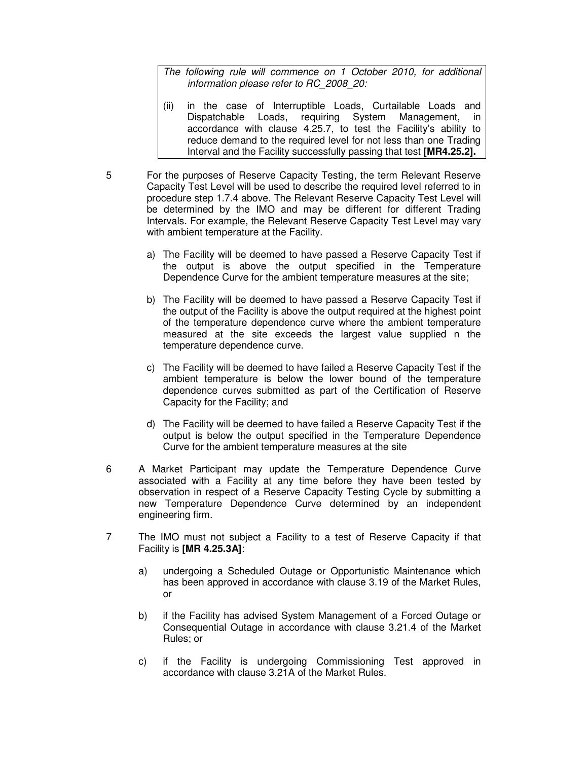The following rule will commence on 1 October 2010, for additional information please refer to RC\_2008\_20:

- (ii) in the case of Interruptible Loads, Curtailable Loads and Dispatchable Loads, requiring System Management, in accordance with clause 4.25.7, to test the Facility's ability to reduce demand to the required level for not less than one Trading Interval and the Facility successfully passing that test **[MR4.25.2].**
- 5 For the purposes of Reserve Capacity Testing, the term Relevant Reserve Capacity Test Level will be used to describe the required level referred to in procedure step 1.7.4 above. The Relevant Reserve Capacity Test Level will be determined by the IMO and may be different for different Trading Intervals. For example, the Relevant Reserve Capacity Test Level may vary with ambient temperature at the Facility.
	- a) The Facility will be deemed to have passed a Reserve Capacity Test if the output is above the output specified in the Temperature Dependence Curve for the ambient temperature measures at the site;
	- b) The Facility will be deemed to have passed a Reserve Capacity Test if the output of the Facility is above the output required at the highest point of the temperature dependence curve where the ambient temperature measured at the site exceeds the largest value supplied n the temperature dependence curve.
	- c) The Facility will be deemed to have failed a Reserve Capacity Test if the ambient temperature is below the lower bound of the temperature dependence curves submitted as part of the Certification of Reserve Capacity for the Facility; and
	- d) The Facility will be deemed to have failed a Reserve Capacity Test if the output is below the output specified in the Temperature Dependence Curve for the ambient temperature measures at the site
- 6 A Market Participant may update the Temperature Dependence Curve associated with a Facility at any time before they have been tested by observation in respect of a Reserve Capacity Testing Cycle by submitting a new Temperature Dependence Curve determined by an independent engineering firm.
- 7 The IMO must not subject a Facility to a test of Reserve Capacity if that Facility is **[MR 4.25.3A]**:
	- a) undergoing a Scheduled Outage or Opportunistic Maintenance which has been approved in accordance with clause 3.19 of the Market Rules, or
	- b) if the Facility has advised System Management of a Forced Outage or Consequential Outage in accordance with clause 3.21.4 of the Market Rules; or
	- c) if the Facility is undergoing Commissioning Test approved in accordance with clause 3.21A of the Market Rules.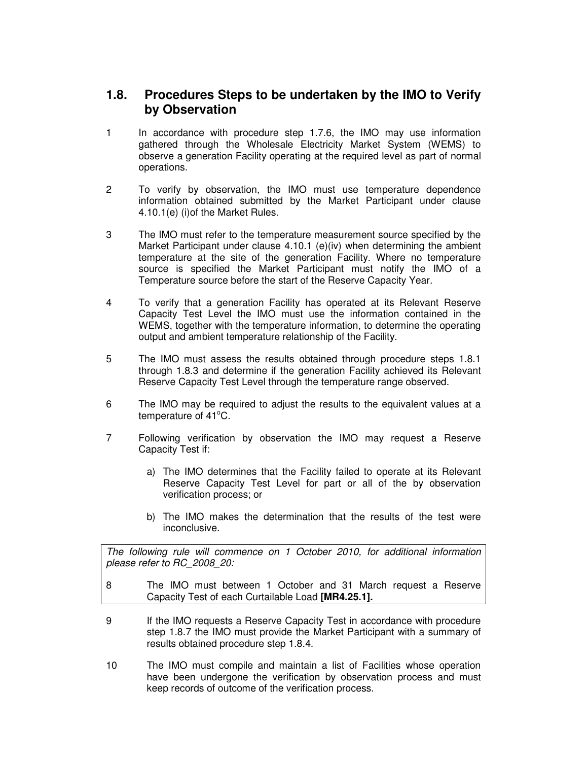## **1.8. Procedures Steps to be undertaken by the IMO to Verify by Observation**

- 1 In accordance with procedure step 1.7.6, the IMO may use information gathered through the Wholesale Electricity Market System (WEMS) to observe a generation Facility operating at the required level as part of normal operations.
- 2 To verify by observation, the IMO must use temperature dependence information obtained submitted by the Market Participant under clause 4.10.1(e) (i)of the Market Rules.
- 3 The IMO must refer to the temperature measurement source specified by the Market Participant under clause 4.10.1 (e)(iv) when determining the ambient temperature at the site of the generation Facility. Where no temperature source is specified the Market Participant must notify the IMO of a Temperature source before the start of the Reserve Capacity Year.
- 4 To verify that a generation Facility has operated at its Relevant Reserve Capacity Test Level the IMO must use the information contained in the WEMS, together with the temperature information, to determine the operating output and ambient temperature relationship of the Facility.
- 5 The IMO must assess the results obtained through procedure steps 1.8.1 through 1.8.3 and determine if the generation Facility achieved its Relevant Reserve Capacity Test Level through the temperature range observed.
- 6 The IMO may be required to adjust the results to the equivalent values at a temperature of 41°C.
- 7 Following verification by observation the IMO may request a Reserve Capacity Test if:
	- a) The IMO determines that the Facility failed to operate at its Relevant Reserve Capacity Test Level for part or all of the by observation verification process; or
	- b) The IMO makes the determination that the results of the test were inconclusive.

The following rule will commence on 1 October 2010, for additional information please refer to RC\_2008\_20:

- 8 The IMO must between 1 October and 31 March request a Reserve Capacity Test of each Curtailable Load **[MR4.25.1].**
- 9 If the IMO requests a Reserve Capacity Test in accordance with procedure step 1.8.7 the IMO must provide the Market Participant with a summary of results obtained procedure step 1.8.4.
- 10 The IMO must compile and maintain a list of Facilities whose operation have been undergone the verification by observation process and must keep records of outcome of the verification process.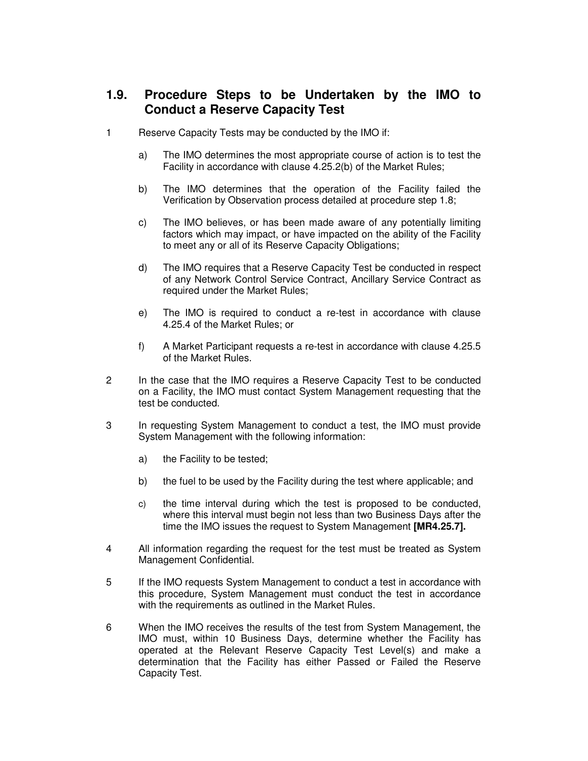## **1.9. Procedure Steps to be Undertaken by the IMO to Conduct a Reserve Capacity Test**

- 1 Reserve Capacity Tests may be conducted by the IMO if:
	- a) The IMO determines the most appropriate course of action is to test the Facility in accordance with clause 4.25.2(b) of the Market Rules;
	- b) The IMO determines that the operation of the Facility failed the Verification by Observation process detailed at procedure step 1.8;
	- c) The IMO believes, or has been made aware of any potentially limiting factors which may impact, or have impacted on the ability of the Facility to meet any or all of its Reserve Capacity Obligations;
	- d) The IMO requires that a Reserve Capacity Test be conducted in respect of any Network Control Service Contract, Ancillary Service Contract as required under the Market Rules;
	- e) The IMO is required to conduct a re-test in accordance with clause 4.25.4 of the Market Rules; or
	- f) A Market Participant requests a re-test in accordance with clause 4.25.5 of the Market Rules.
- 2 In the case that the IMO requires a Reserve Capacity Test to be conducted on a Facility, the IMO must contact System Management requesting that the test be conducted.
- 3 In requesting System Management to conduct a test, the IMO must provide System Management with the following information:
	- a) the Facility to be tested;
	- b) the fuel to be used by the Facility during the test where applicable; and
	- c) the time interval during which the test is proposed to be conducted, where this interval must begin not less than two Business Days after the time the IMO issues the request to System Management **[MR4.25.7].**
- 4 All information regarding the request for the test must be treated as System Management Confidential.
- 5 If the IMO requests System Management to conduct a test in accordance with this procedure, System Management must conduct the test in accordance with the requirements as outlined in the Market Rules.
- 6 When the IMO receives the results of the test from System Management, the IMO must, within 10 Business Days, determine whether the Facility has operated at the Relevant Reserve Capacity Test Level(s) and make a determination that the Facility has either Passed or Failed the Reserve Capacity Test.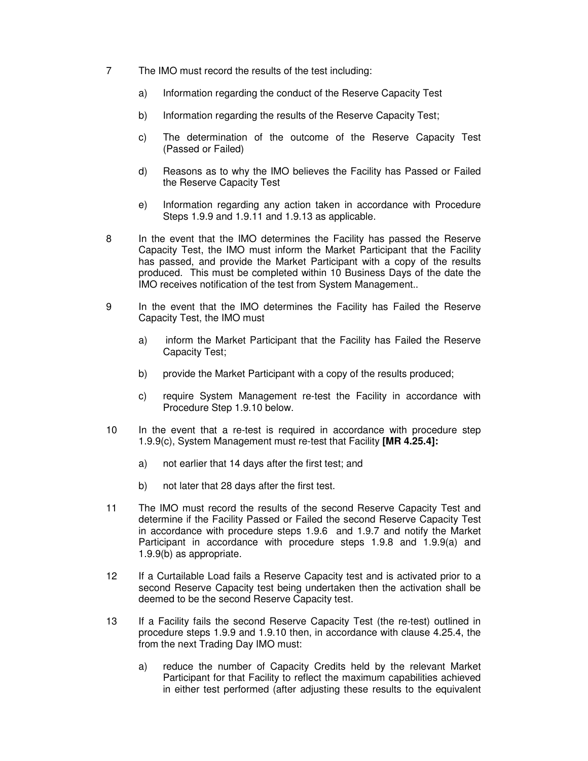- 7 The IMO must record the results of the test including:
	- a) Information regarding the conduct of the Reserve Capacity Test
	- b) Information regarding the results of the Reserve Capacity Test;
	- c) The determination of the outcome of the Reserve Capacity Test (Passed or Failed)
	- d) Reasons as to why the IMO believes the Facility has Passed or Failed the Reserve Capacity Test
	- e) Information regarding any action taken in accordance with Procedure Steps 1.9.9 and 1.9.11 and 1.9.13 as applicable.
- 8 In the event that the IMO determines the Facility has passed the Reserve Capacity Test, the IMO must inform the Market Participant that the Facility has passed, and provide the Market Participant with a copy of the results produced. This must be completed within 10 Business Days of the date the IMO receives notification of the test from System Management..
- 9 In the event that the IMO determines the Facility has Failed the Reserve Capacity Test, the IMO must
	- a) inform the Market Participant that the Facility has Failed the Reserve Capacity Test;
	- b) provide the Market Participant with a copy of the results produced;
	- c) require System Management re-test the Facility in accordance with Procedure Step 1.9.10 below.
- 10 In the event that a re-test is required in accordance with procedure step 1.9.9(c), System Management must re-test that Facility **[MR 4.25.4]:**
	- a) not earlier that 14 days after the first test; and
	- b) not later that 28 days after the first test.
- 11 The IMO must record the results of the second Reserve Capacity Test and determine if the Facility Passed or Failed the second Reserve Capacity Test in accordance with procedure steps 1.9.6 and 1.9.7 and notify the Market Participant in accordance with procedure steps 1.9.8 and 1.9.9(a) and 1.9.9(b) as appropriate.
- 12 If a Curtailable Load fails a Reserve Capacity test and is activated prior to a second Reserve Capacity test being undertaken then the activation shall be deemed to be the second Reserve Capacity test.
- 13 If a Facility fails the second Reserve Capacity Test (the re-test) outlined in procedure steps 1.9.9 and 1.9.10 then, in accordance with clause 4.25.4, the from the next Trading Day IMO must:
	- a) reduce the number of Capacity Credits held by the relevant Market Participant for that Facility to reflect the maximum capabilities achieved in either test performed (after adjusting these results to the equivalent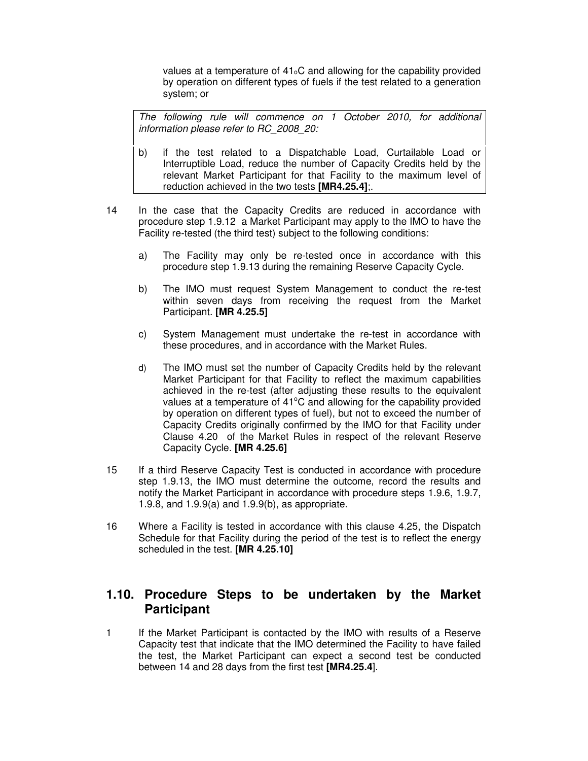values at a temperature of  $41<sub>o</sub>C$  and allowing for the capability provided by operation on different types of fuels if the test related to a generation system; or

The following rule will commence on 1 October 2010, for additional information please refer to RC\_2008\_20:

- b) if the test related to a Dispatchable Load, Curtailable Load or Interruptible Load, reduce the number of Capacity Credits held by the relevant Market Participant for that Facility to the maximum level of reduction achieved in the two tests **[MR4.25.4]**;.
- 14 In the case that the Capacity Credits are reduced in accordance with procedure step 1.9.12 a Market Participant may apply to the IMO to have the Facility re-tested (the third test) subject to the following conditions:
	- a) The Facility may only be re-tested once in accordance with this procedure step 1.9.13 during the remaining Reserve Capacity Cycle.
	- b) The IMO must request System Management to conduct the re-test within seven days from receiving the request from the Market Participant. **[MR 4.25.5]**
	- c) System Management must undertake the re-test in accordance with these procedures, and in accordance with the Market Rules.
	- d) The IMO must set the number of Capacity Credits held by the relevant Market Participant for that Facility to reflect the maximum capabilities achieved in the re-test (after adjusting these results to the equivalent values at a temperature of  $41^{\circ}$ C and allowing for the capability provided by operation on different types of fuel), but not to exceed the number of Capacity Credits originally confirmed by the IMO for that Facility under Clause 4.20 of the Market Rules in respect of the relevant Reserve Capacity Cycle. **[MR 4.25.6]**
- 15 If a third Reserve Capacity Test is conducted in accordance with procedure step 1.9.13, the IMO must determine the outcome, record the results and notify the Market Participant in accordance with procedure steps 1.9.6, 1.9.7, 1.9.8, and 1.9.9(a) and 1.9.9(b), as appropriate.
- 16 Where a Facility is tested in accordance with this clause 4.25, the Dispatch Schedule for that Facility during the period of the test is to reflect the energy scheduled in the test. **[MR 4.25.10]**

#### **1.10. Procedure Steps to be undertaken by the Market Participant**

1 If the Market Participant is contacted by the IMO with results of a Reserve Capacity test that indicate that the IMO determined the Facility to have failed the test, the Market Participant can expect a second test be conducted between 14 and 28 days from the first test **[MR4.25.4**].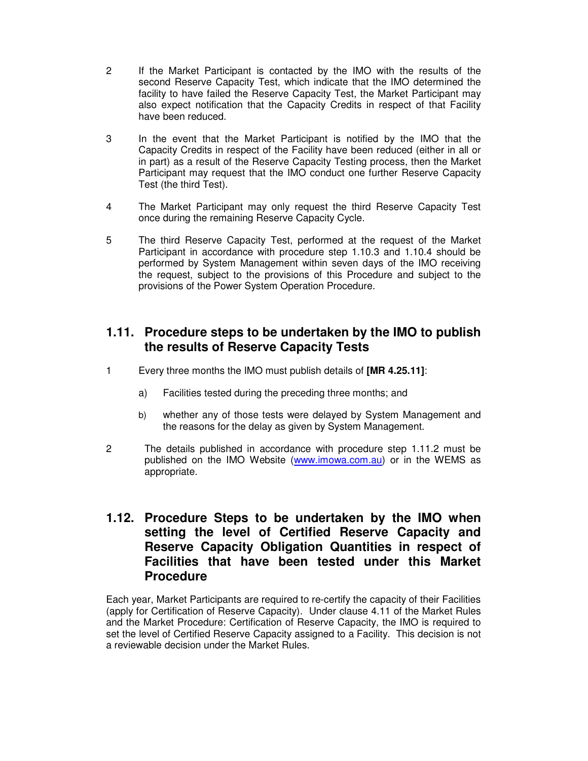- 2 If the Market Participant is contacted by the IMO with the results of the second Reserve Capacity Test, which indicate that the IMO determined the facility to have failed the Reserve Capacity Test, the Market Participant may also expect notification that the Capacity Credits in respect of that Facility have been reduced.
- 3 In the event that the Market Participant is notified by the IMO that the Capacity Credits in respect of the Facility have been reduced (either in all or in part) as a result of the Reserve Capacity Testing process, then the Market Participant may request that the IMO conduct one further Reserve Capacity Test (the third Test).
- 4 The Market Participant may only request the third Reserve Capacity Test once during the remaining Reserve Capacity Cycle.
- 5 The third Reserve Capacity Test, performed at the request of the Market Participant in accordance with procedure step 1.10.3 and 1.10.4 should be performed by System Management within seven days of the IMO receiving the request, subject to the provisions of this Procedure and subject to the provisions of the Power System Operation Procedure.

#### **1.11. Procedure steps to be undertaken by the IMO to publish the results of Reserve Capacity Tests**

- 1 Every three months the IMO must publish details of **[MR 4.25.11]**:
	- a) Facilities tested during the preceding three months; and
	- b) whether any of those tests were delayed by System Management and the reasons for the delay as given by System Management.
- 2 The details published in accordance with procedure step 1.11.2 must be published on the IMO Website (www.imowa.com.au) or in the WEMS as appropriate.

#### **1.12. Procedure Steps to be undertaken by the IMO when setting the level of Certified Reserve Capacity and Reserve Capacity Obligation Quantities in respect of Facilities that have been tested under this Market Procedure**

Each year, Market Participants are required to re-certify the capacity of their Facilities (apply for Certification of Reserve Capacity). Under clause 4.11 of the Market Rules and the Market Procedure: Certification of Reserve Capacity, the IMO is required to set the level of Certified Reserve Capacity assigned to a Facility. This decision is not a reviewable decision under the Market Rules.